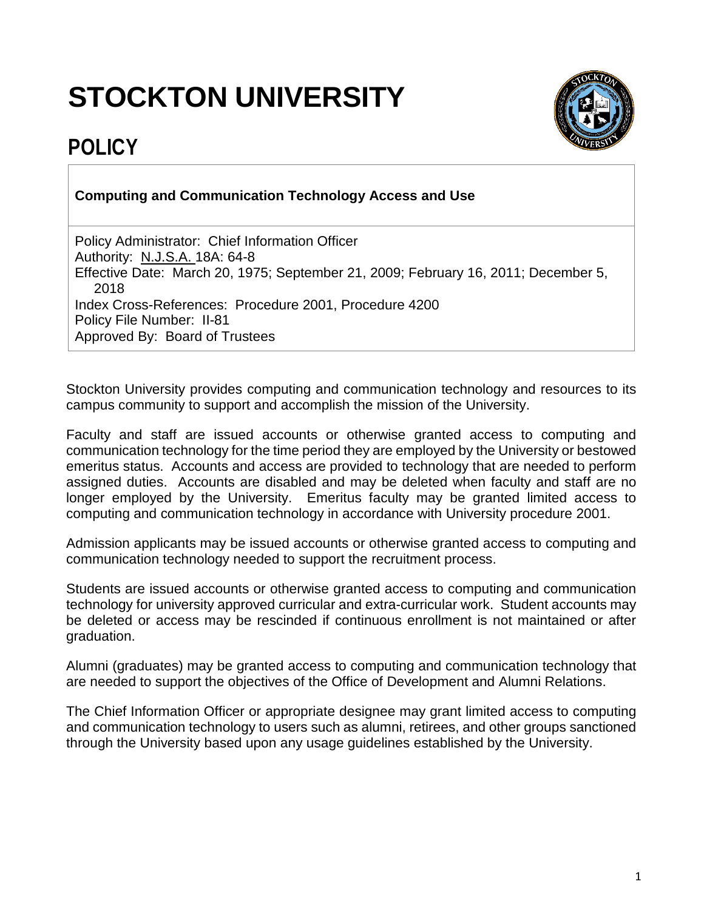## **STOCKTON UNIVERSITY**



## **POLICY**

## **Computing and Communication Technology Access and Use**

Policy Administrator: Chief Information Officer Authority: N.J.S.A. 18A: 64-8 Effective Date: March 20, 1975; September 21, 2009; February 16, 2011; December 5, 2018 Index Cross-References: Procedure 2001, Procedure 4200 Policy File Number: II-81 Approved By: Board of Trustees

Stockton University provides computing and communication technology and resources to its campus community to support and accomplish the mission of the University.

Faculty and staff are issued accounts or otherwise granted access to computing and communication technology for the time period they are employed by the University or bestowed emeritus status. Accounts and access are provided to technology that are needed to perform assigned duties. Accounts are disabled and may be deleted when faculty and staff are no longer employed by the University. Emeritus faculty may be granted limited access to computing and communication technology in accordance with University procedure 2001.

Admission applicants may be issued accounts or otherwise granted access to computing and communication technology needed to support the recruitment process.

Students are issued accounts or otherwise granted access to computing and communication technology for university approved curricular and extra-curricular work. Student accounts may be deleted or access may be rescinded if continuous enrollment is not maintained or after graduation.

Alumni (graduates) may be granted access to computing and communication technology that are needed to support the objectives of the Office of Development and Alumni Relations.

The Chief Information Officer or appropriate designee may grant limited access to computing and communication technology to users such as alumni, retirees, and other groups sanctioned through the University based upon any usage guidelines established by the University.